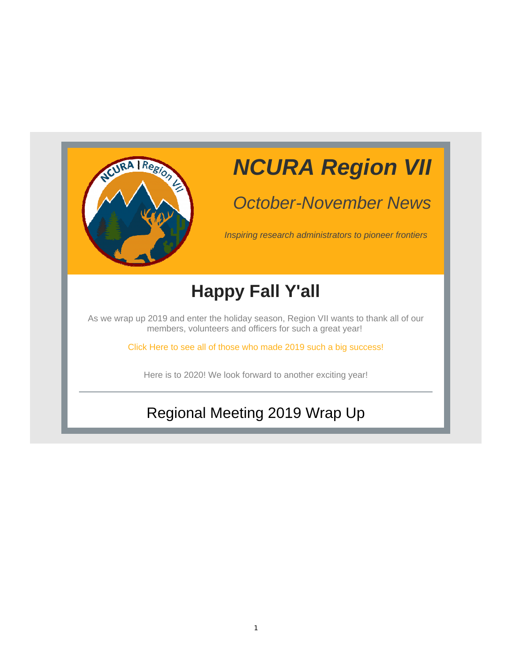

## *NCURA Region VII*

### *October-November News*

*Inspiring research administrators to pioneer frontiers*

## **Happy Fall Y'all**

As we wrap up 2019 and enter the holiday season, Region VII wants to thank all of our members, volunteers and officers for such a great year!

Click Here to see all of those who made 2019 such a big success!

Here is to 2020! We look forward to another exciting year!

#### Regional Meeting 2019 Wrap Up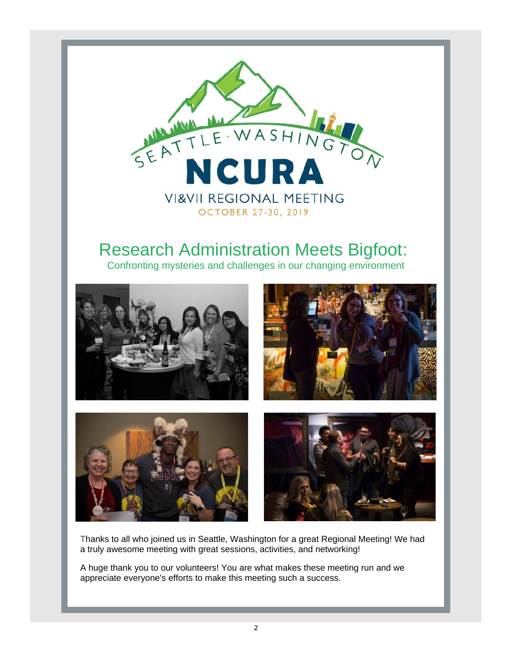

#### Research Administration Meets Bigfoot:

Confronting mysteries and challenges in our changing environment



Thanks to all who joined us in Seattle, Washington for a great Regional Meeting! We had a truly awesome meeting with great sessions, activities, and networking!

A huge thank you to our volunteers! You are what makes these meeting run and we appreciate everyone's efforts to make this meeting such a success.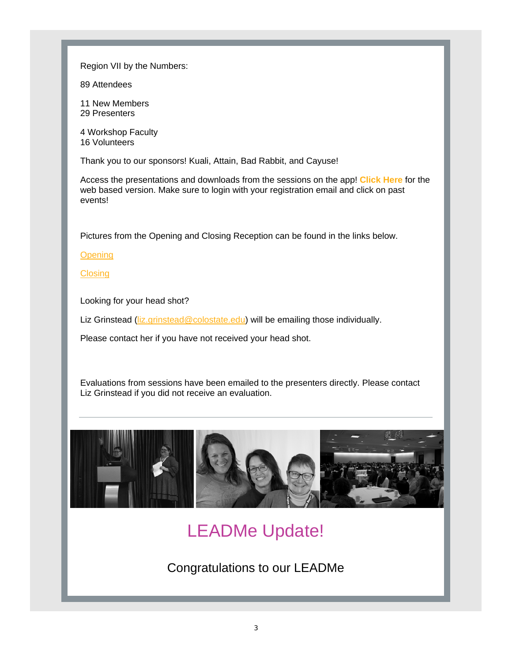Region VII by the Numbers:

89 Attendees

11 New Members 29 Presenters

4 Workshop Faculty 16 Volunteers

Thank you to our sponsors! Kuali, Attain, Bad Rabbit, and Cayuse!

Access the presentations and downloads from the sessions on the app! **Click Here** for the web based version. Make sure to login with your registration email and click on past events!

Pictures from the Opening and Closing Reception can be found in the links below.

**Opening** 

**Closing** 

Looking for your head shot?

Liz Grinstead (liz.grinstead@colostate.edu) will be emailing those individually.

Please contact her if you have not received your head shot.

Evaluations from sessions have been emailed to the presenters directly. Please contact Liz Grinstead if you did not receive an evaluation.



#### LEADMe Update!

Congratulations to our LEADMe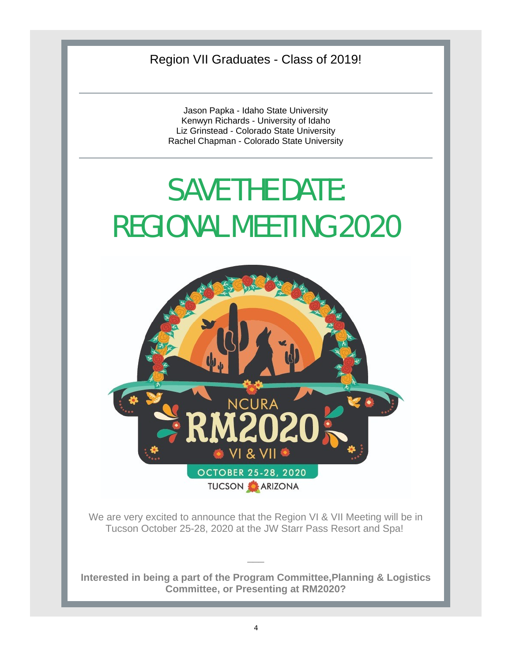Region VII Graduates - Class of 2019!

Jason Papka - Idaho State University Kenwyn Richards - University of Idaho Liz Grinstead - Colorado State University Rachel Chapman - Colorado State University

# SAVE THE DATE: REGIONAL MEETING 2020



We are very excited to announce that the Region VI & VII Meeting will be in Tucson October 25-28, 2020 at the JW Starr Pass Resort and Spa!

**Interested in being a part of the Program Committee,Planning & Logistics Committee, or Presenting at RM2020?**

 $\overline{\phantom{a}}$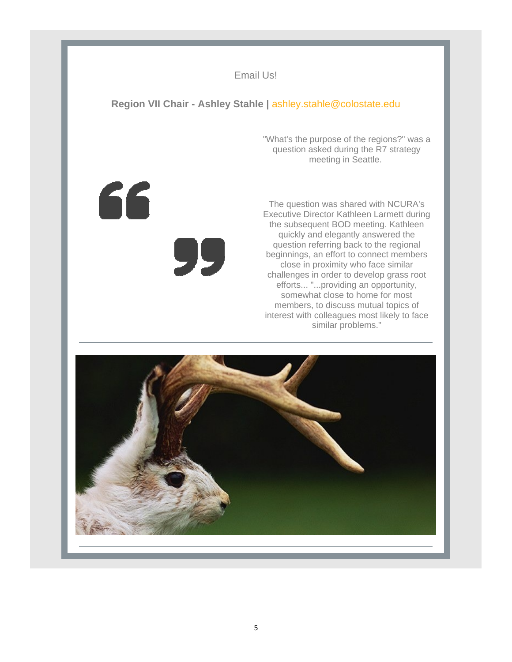#### Email Us!

#### **Region VII Chair - Ashley Stahle |** ashley.stahle@colostate.edu

"What's the purpose of the regions?" was a question asked during the R7 strategy meeting in Seattle.

The question was shared with NCURA's Executive Director Kathleen Larmett during the subsequent BOD meeting. Kathleen quickly and elegantly answered the question referring back to the regional beginnings, an effort to connect members close in proximity who face similar challenges in order to develop grass root efforts... "...providing an opportunity, somewhat close to home for most members, to discuss mutual topics of interest with colleagues most likely to face similar problems."